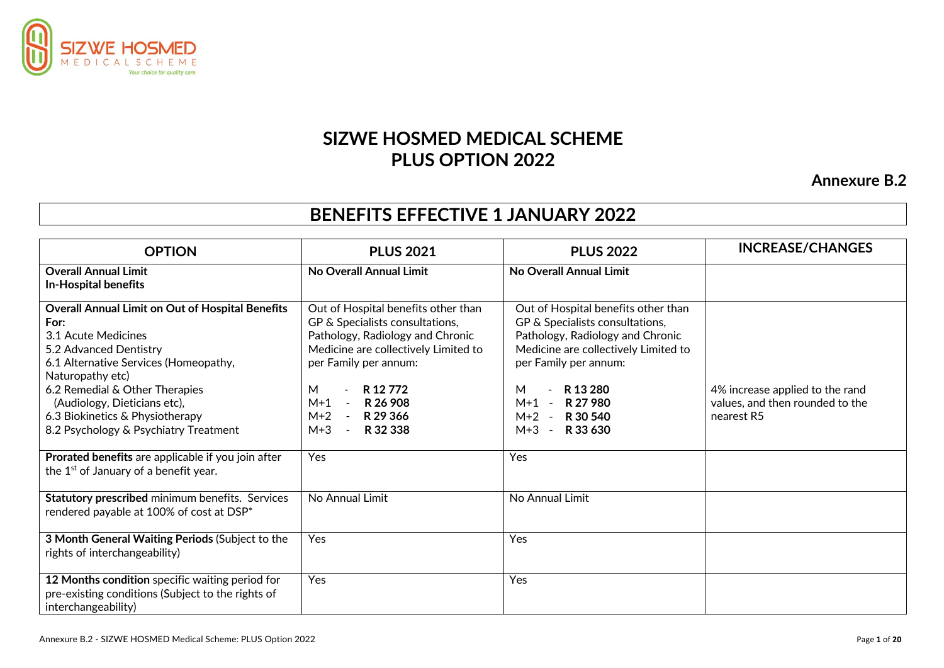

# **SIZWE HOSMED MEDICAL SCHEME PLUS OPTION 2022**

**Annexure B.2**

# **BENEFITS EFFECTIVE 1 JANUARY 2022**

| <b>OPTION</b>                                                                                                                                                                                                                                                                                                                                                                     | <b>PLUS 2021</b>                                                                                                                                                                                                                                                                                           | <b>PLUS 2022</b>                                                                                                                                                                                                                                                  | <b>INCREASE/CHANGES</b>                                                          |
|-----------------------------------------------------------------------------------------------------------------------------------------------------------------------------------------------------------------------------------------------------------------------------------------------------------------------------------------------------------------------------------|------------------------------------------------------------------------------------------------------------------------------------------------------------------------------------------------------------------------------------------------------------------------------------------------------------|-------------------------------------------------------------------------------------------------------------------------------------------------------------------------------------------------------------------------------------------------------------------|----------------------------------------------------------------------------------|
| <b>Overall Annual Limit</b><br><b>In-Hospital benefits</b>                                                                                                                                                                                                                                                                                                                        | No Overall Annual Limit                                                                                                                                                                                                                                                                                    | No Overall Annual Limit                                                                                                                                                                                                                                           |                                                                                  |
| <b>Overall Annual Limit on Out of Hospital Benefits</b><br>For:<br>3.1 Acute Medicines<br>5.2 Advanced Dentistry<br>6.1 Alternative Services (Homeopathy,<br>Naturopathy etc)<br>6.2 Remedial & Other Therapies<br>(Audiology, Dieticians etc),<br>6.3 Biokinetics & Physiotherapy<br>8.2 Psychology & Psychiatry Treatment<br>Prorated benefits are applicable if you join after | Out of Hospital benefits other than<br>GP & Specialists consultations,<br>Pathology, Radiology and Chronic<br>Medicine are collectively Limited to<br>per Family per annum:<br>R 12 772<br>M<br>$\overline{\phantom{0}}$<br>$M+1$<br>R 26 908<br>$M+2 -$<br>R 29 366<br>$M+3$<br>R 32 338<br>$\sim$<br>Yes | Out of Hospital benefits other than<br>GP & Specialists consultations,<br>Pathology, Radiology and Chronic<br>Medicine are collectively Limited to<br>per Family per annum:<br>R 13 280<br>М<br>$M+1$ -<br>R 27 980<br>$M+2 - R30540$<br>M+3 -<br>R 33 630<br>Yes | 4% increase applied to the rand<br>values, and then rounded to the<br>nearest R5 |
| the 1 <sup>st</sup> of January of a benefit year.                                                                                                                                                                                                                                                                                                                                 |                                                                                                                                                                                                                                                                                                            |                                                                                                                                                                                                                                                                   |                                                                                  |
| Statutory prescribed minimum benefits. Services<br>rendered payable at 100% of cost at DSP*                                                                                                                                                                                                                                                                                       | No Annual Limit                                                                                                                                                                                                                                                                                            | No Annual Limit                                                                                                                                                                                                                                                   |                                                                                  |
| 3 Month General Waiting Periods (Subject to the<br>rights of interchangeability)                                                                                                                                                                                                                                                                                                  | Yes                                                                                                                                                                                                                                                                                                        | Yes                                                                                                                                                                                                                                                               |                                                                                  |
| 12 Months condition specific waiting period for<br>pre-existing conditions (Subject to the rights of<br>interchangeability)                                                                                                                                                                                                                                                       | Yes                                                                                                                                                                                                                                                                                                        | Yes                                                                                                                                                                                                                                                               |                                                                                  |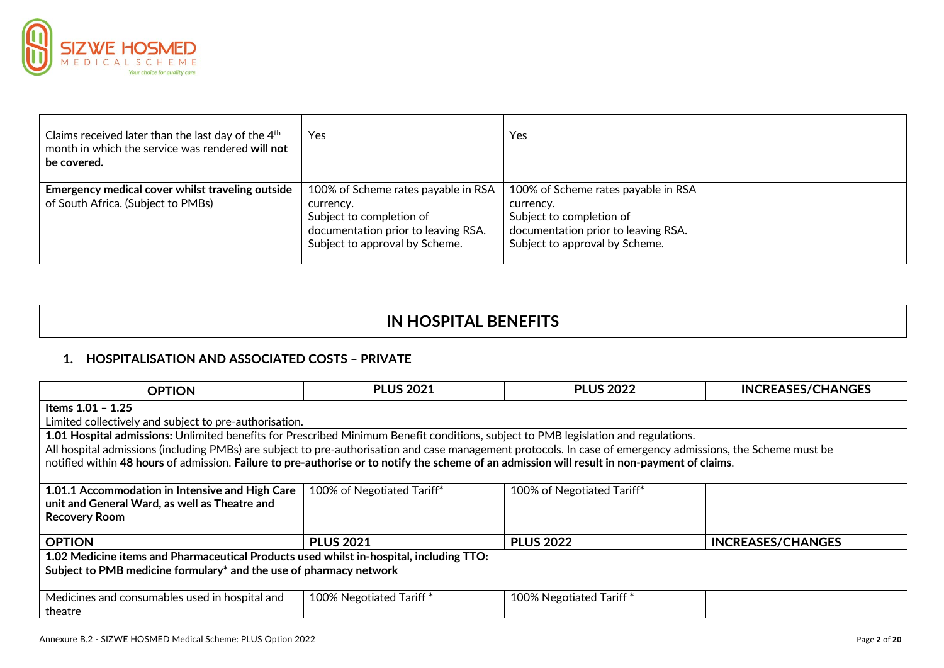

| Claims received later than the last day of the $4th$<br>month in which the service was rendered will not | Yes                                 | Yes                                 |  |
|----------------------------------------------------------------------------------------------------------|-------------------------------------|-------------------------------------|--|
|                                                                                                          |                                     |                                     |  |
| be covered.                                                                                              |                                     |                                     |  |
|                                                                                                          |                                     |                                     |  |
| Emergency medical cover whilst traveling outside                                                         | 100% of Scheme rates payable in RSA | 100% of Scheme rates payable in RSA |  |
| of South Africa. (Subject to PMBs)                                                                       | currency.                           | currency.                           |  |
|                                                                                                          | Subject to completion of            | Subject to completion of            |  |
|                                                                                                          | documentation prior to leaving RSA. | documentation prior to leaving RSA. |  |
|                                                                                                          | Subject to approval by Scheme.      | Subject to approval by Scheme.      |  |
|                                                                                                          |                                     |                                     |  |

# **IN HOSPITAL BENEFITS**

# **1. HOSPITALISATION AND ASSOCIATED COSTS – PRIVATE**

| <b>OPTION</b>                                                                                                                                                | <b>PLUS 2021</b>           | <b>PLUS 2022</b>           | <b>INCREASES/CHANGES</b> |  |
|--------------------------------------------------------------------------------------------------------------------------------------------------------------|----------------------------|----------------------------|--------------------------|--|
| Items 1.01 - 1.25                                                                                                                                            |                            |                            |                          |  |
| Limited collectively and subject to pre-authorisation.                                                                                                       |                            |                            |                          |  |
| 1.01 Hospital admissions: Unlimited benefits for Prescribed Minimum Benefit conditions, subject to PMB legislation and regulations.                          |                            |                            |                          |  |
| All hospital admissions (including PMBs) are subject to pre-authorisation and case management protocols. In case of emergency admissions, the Scheme must be |                            |                            |                          |  |
| notified within 48 hours of admission. Failure to pre-authorise or to notify the scheme of an admission will result in non-payment of claims.                |                            |                            |                          |  |
|                                                                                                                                                              |                            |                            |                          |  |
| 1.01.1 Accommodation in Intensive and High Care                                                                                                              | 100% of Negotiated Tariff* | 100% of Negotiated Tariff* |                          |  |
| unit and General Ward, as well as Theatre and                                                                                                                |                            |                            |                          |  |
| <b>Recovery Room</b>                                                                                                                                         |                            |                            |                          |  |
| <b>OPTION</b>                                                                                                                                                | <b>PLUS 2021</b>           | <b>PLUS 2022</b>           | <b>INCREASES/CHANGES</b> |  |
|                                                                                                                                                              |                            |                            |                          |  |
| 1.02 Medicine items and Pharmaceutical Products used whilst in-hospital, including TTO:                                                                      |                            |                            |                          |  |
| Subject to PMB medicine formulary* and the use of pharmacy network                                                                                           |                            |                            |                          |  |
|                                                                                                                                                              |                            |                            |                          |  |
| Medicines and consumables used in hospital and                                                                                                               | 100% Negotiated Tariff *   | 100% Negotiated Tariff *   |                          |  |
| theatre                                                                                                                                                      |                            |                            |                          |  |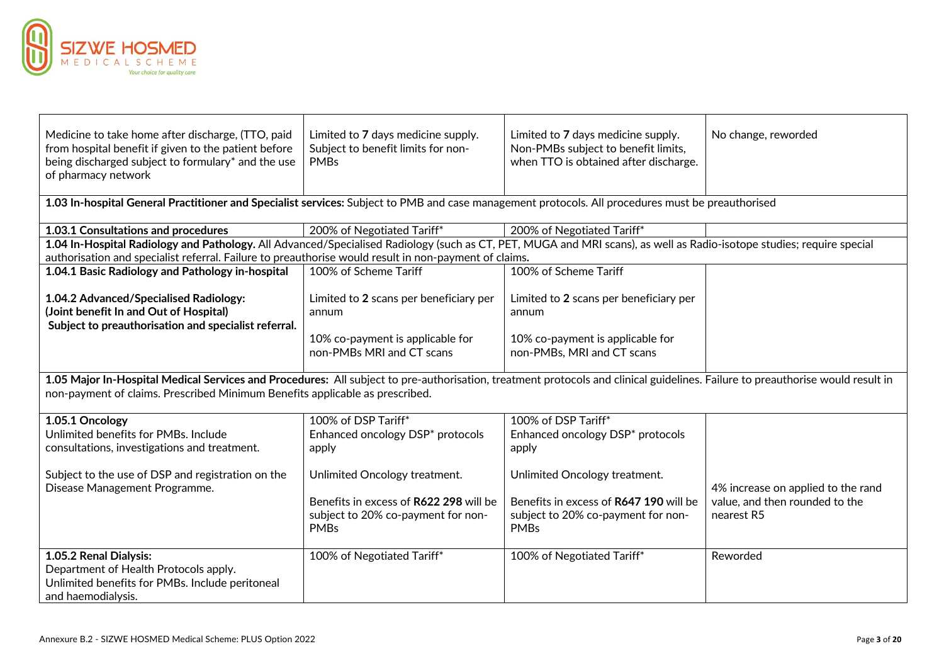

┱

| Medicine to take home after discharge, (TTO, paid<br>from hospital benefit if given to the patient before<br>being discharged subject to formulary* and the use<br>of pharmacy network | Limited to 7 days medicine supply.<br>Subject to benefit limits for non-<br><b>PMBs</b>                                                                                                                                                                        | Limited to 7 days medicine supply.<br>Non-PMBs subject to benefit limits,<br>when TTO is obtained after discharge. | No change, reworded                |  |  |  |
|----------------------------------------------------------------------------------------------------------------------------------------------------------------------------------------|----------------------------------------------------------------------------------------------------------------------------------------------------------------------------------------------------------------------------------------------------------------|--------------------------------------------------------------------------------------------------------------------|------------------------------------|--|--|--|
| 1.03 In-hospital General Practitioner and Specialist services: Subject to PMB and case management protocols. All procedures must be preauthorised                                      |                                                                                                                                                                                                                                                                |                                                                                                                    |                                    |  |  |  |
| 1.03.1 Consultations and procedures                                                                                                                                                    | 200% of Negotiated Tariff*                                                                                                                                                                                                                                     | 200% of Negotiated Tariff*                                                                                         |                                    |  |  |  |
| 1.04 In-Hospital Radiology and Pathology. All Advanced/Specialised Radiology (such as CT, PET, MUGA and MRI scans), as well as Radio-isotope studies; require special                  |                                                                                                                                                                                                                                                                |                                                                                                                    |                                    |  |  |  |
| authorisation and specialist referral. Failure to preauthorise would result in non-payment of claims.                                                                                  |                                                                                                                                                                                                                                                                |                                                                                                                    |                                    |  |  |  |
| 1.04.1 Basic Radiology and Pathology in-hospital                                                                                                                                       | 100% of Scheme Tariff                                                                                                                                                                                                                                          | 100% of Scheme Tariff                                                                                              |                                    |  |  |  |
| 1.04.2 Advanced/Specialised Radiology:<br>(Joint benefit In and Out of Hospital)<br>Subject to preauthorisation and specialist referral.                                               | Limited to 2 scans per beneficiary per<br>annum                                                                                                                                                                                                                | Limited to 2 scans per beneficiary per<br>annum                                                                    |                                    |  |  |  |
|                                                                                                                                                                                        | 10% co-payment is applicable for<br>non-PMBs MRI and CT scans                                                                                                                                                                                                  | 10% co-payment is applicable for<br>non-PMBs, MRI and CT scans                                                     |                                    |  |  |  |
|                                                                                                                                                                                        | 1.05 Major In-Hospital Medical Services and Procedures: All subject to pre-authorisation, treatment protocols and clinical guidelines. Failure to preauthorise would result in<br>non-payment of claims. Prescribed Minimum Benefits applicable as prescribed. |                                                                                                                    |                                    |  |  |  |
| 1.05.1 Oncology                                                                                                                                                                        | 100% of DSP Tariff*                                                                                                                                                                                                                                            | 100% of DSP Tariff*                                                                                                |                                    |  |  |  |
| Unlimited benefits for PMBs. Include<br>consultations, investigations and treatment.                                                                                                   | Enhanced oncology DSP* protocols<br>apply                                                                                                                                                                                                                      | Enhanced oncology DSP* protocols<br>apply                                                                          |                                    |  |  |  |
| Subject to the use of DSP and registration on the<br>Disease Management Programme.                                                                                                     | Unlimited Oncology treatment.                                                                                                                                                                                                                                  | Unlimited Oncology treatment.                                                                                      | 4% increase on applied to the rand |  |  |  |
|                                                                                                                                                                                        | Benefits in excess of R622 298 will be                                                                                                                                                                                                                         | Benefits in excess of R647 190 will be                                                                             | value, and then rounded to the     |  |  |  |
|                                                                                                                                                                                        | subject to 20% co-payment for non-<br><b>PMBs</b>                                                                                                                                                                                                              | subject to 20% co-payment for non-<br><b>PMBs</b>                                                                  | nearest R5                         |  |  |  |
| 1.05.2 Renal Dialysis:<br>Department of Health Protocols apply.<br>Unlimited benefits for PMBs. Include peritoneal<br>and haemodialysis.                                               | 100% of Negotiated Tariff*                                                                                                                                                                                                                                     | 100% of Negotiated Tariff*                                                                                         | Reworded                           |  |  |  |

Τ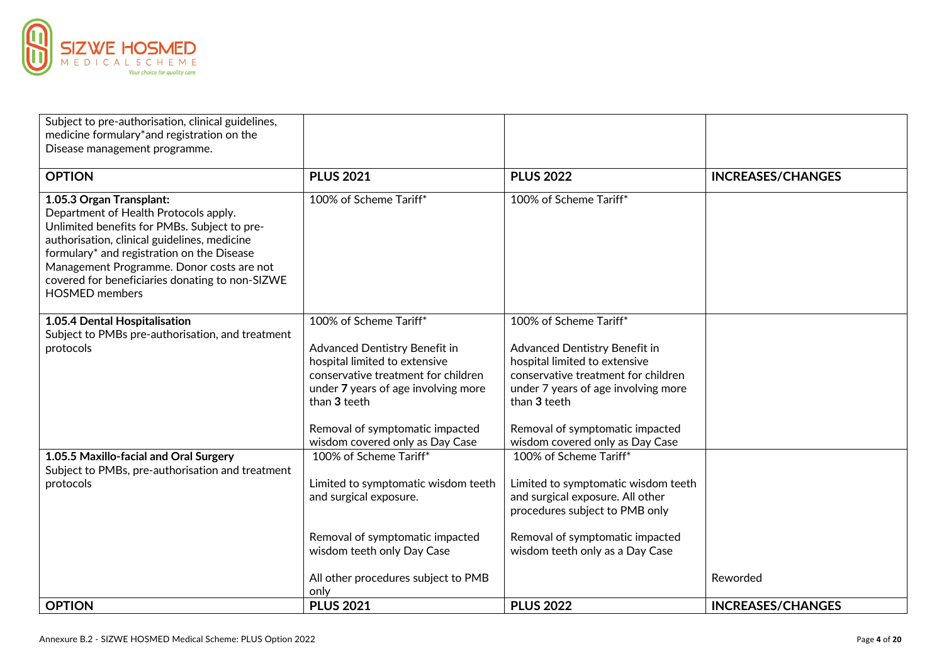

| Subject to pre-authorisation, clinical guidelines,                                                                                                                                                                                                                                                                                       |                                                                |                                                                         |                          |
|------------------------------------------------------------------------------------------------------------------------------------------------------------------------------------------------------------------------------------------------------------------------------------------------------------------------------------------|----------------------------------------------------------------|-------------------------------------------------------------------------|--------------------------|
| medicine formulary*and registration on the                                                                                                                                                                                                                                                                                               |                                                                |                                                                         |                          |
| Disease management programme.                                                                                                                                                                                                                                                                                                            |                                                                |                                                                         |                          |
| <b>OPTION</b>                                                                                                                                                                                                                                                                                                                            | <b>PLUS 2021</b>                                               | <b>PLUS 2022</b>                                                        | <b>INCREASES/CHANGES</b> |
| 1.05.3 Organ Transplant:<br>Department of Health Protocols apply.<br>Unlimited benefits for PMBs. Subject to pre-<br>authorisation, clinical guidelines, medicine<br>formulary* and registration on the Disease<br>Management Programme. Donor costs are not<br>covered for beneficiaries donating to non-SIZWE<br><b>HOSMED</b> members | 100% of Scheme Tariff*                                         | 100% of Scheme Tariff*                                                  |                          |
| 1.05.4 Dental Hospitalisation                                                                                                                                                                                                                                                                                                            | 100% of Scheme Tariff*                                         | 100% of Scheme Tariff*                                                  |                          |
| Subject to PMBs pre-authorisation, and treatment                                                                                                                                                                                                                                                                                         |                                                                |                                                                         |                          |
| protocols                                                                                                                                                                                                                                                                                                                                | Advanced Dentistry Benefit in<br>hospital limited to extensive | Advanced Dentistry Benefit in<br>hospital limited to extensive          |                          |
|                                                                                                                                                                                                                                                                                                                                          | conservative treatment for children                            | conservative treatment for children                                     |                          |
|                                                                                                                                                                                                                                                                                                                                          | under 7 years of age involving more<br>than 3 teeth            | under 7 years of age involving more<br>than 3 teeth                     |                          |
|                                                                                                                                                                                                                                                                                                                                          | Removal of symptomatic impacted                                | Removal of symptomatic impacted                                         |                          |
|                                                                                                                                                                                                                                                                                                                                          | wisdom covered only as Day Case                                | wisdom covered only as Day Case                                         |                          |
| 1.05.5 Maxillo-facial and Oral Surgery                                                                                                                                                                                                                                                                                                   | 100% of Scheme Tariff*                                         | 100% of Scheme Tariff*                                                  |                          |
| Subject to PMBs, pre-authorisation and treatment                                                                                                                                                                                                                                                                                         |                                                                |                                                                         |                          |
| protocols                                                                                                                                                                                                                                                                                                                                | Limited to symptomatic wisdom teeth<br>and surgical exposure.  | Limited to symptomatic wisdom teeth<br>and surgical exposure. All other |                          |
|                                                                                                                                                                                                                                                                                                                                          |                                                                | procedures subject to PMB only                                          |                          |
|                                                                                                                                                                                                                                                                                                                                          | Removal of symptomatic impacted                                | Removal of symptomatic impacted                                         |                          |
|                                                                                                                                                                                                                                                                                                                                          | wisdom teeth only Day Case                                     | wisdom teeth only as a Day Case                                         |                          |
|                                                                                                                                                                                                                                                                                                                                          | All other procedures subject to PMB                            |                                                                         | Reworded                 |
|                                                                                                                                                                                                                                                                                                                                          | only                                                           |                                                                         |                          |
| <b>OPTION</b>                                                                                                                                                                                                                                                                                                                            | <b>PLUS 2021</b>                                               | <b>PLUS 2022</b>                                                        | <b>INCREASES/CHANGES</b> |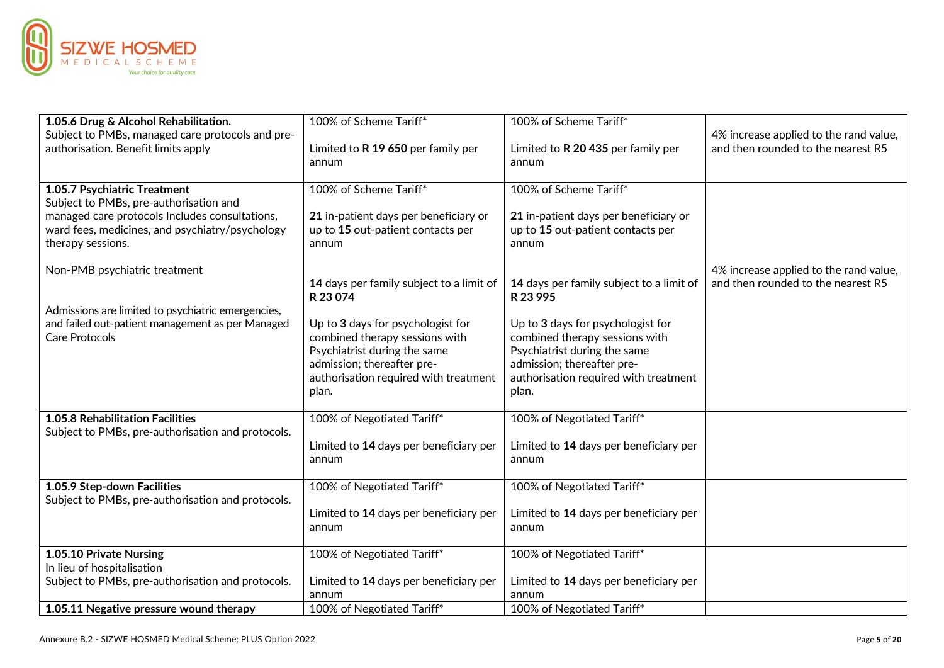

| 1.05.6 Drug & Alcohol Rehabilitation.                                | 100% of Scheme Tariff*                                         | 100% of Scheme Tariff*                                     |                                        |
|----------------------------------------------------------------------|----------------------------------------------------------------|------------------------------------------------------------|----------------------------------------|
| Subject to PMBs, managed care protocols and pre-                     |                                                                |                                                            | 4% increase applied to the rand value, |
| authorisation. Benefit limits apply                                  | Limited to R 19 650 per family per<br>annum                    | Limited to R 20 435 per family per<br>annum                | and then rounded to the nearest R5     |
| 1.05.7 Psychiatric Treatment                                         | 100% of Scheme Tariff*                                         | 100% of Scheme Tariff*                                     |                                        |
| Subject to PMBs, pre-authorisation and                               |                                                                |                                                            |                                        |
| managed care protocols Includes consultations,                       | 21 in-patient days per beneficiary or                          | 21 in-patient days per beneficiary or                      |                                        |
| ward fees, medicines, and psychiatry/psychology<br>therapy sessions. | up to 15 out-patient contacts per<br>annum                     | up to 15 out-patient contacts per<br>annum                 |                                        |
| Non-PMB psychiatric treatment                                        |                                                                |                                                            | 4% increase applied to the rand value, |
|                                                                      | 14 days per family subject to a limit of<br>R 23 074           | 14 days per family subject to a limit of<br>R 23 995       | and then rounded to the nearest R5     |
| Admissions are limited to psychiatric emergencies,                   |                                                                |                                                            |                                        |
| and failed out-patient management as per Managed                     | Up to 3 days for psychologist for                              | Up to 3 days for psychologist for                          |                                        |
| Care Protocols                                                       | combined therapy sessions with<br>Psychiatrist during the same | combined therapy sessions with                             |                                        |
|                                                                      | admission; thereafter pre-                                     | Psychiatrist during the same<br>admission; thereafter pre- |                                        |
|                                                                      | authorisation required with treatment                          | authorisation required with treatment                      |                                        |
|                                                                      | plan.                                                          | plan.                                                      |                                        |
| 1.05.8 Rehabilitation Facilities                                     | 100% of Negotiated Tariff*                                     | 100% of Negotiated Tariff*                                 |                                        |
| Subject to PMBs, pre-authorisation and protocols.                    |                                                                |                                                            |                                        |
|                                                                      | Limited to 14 days per beneficiary per                         | Limited to 14 days per beneficiary per                     |                                        |
|                                                                      | annum                                                          | annum                                                      |                                        |
| 1.05.9 Step-down Facilities                                          | 100% of Negotiated Tariff*                                     | 100% of Negotiated Tariff*                                 |                                        |
| Subject to PMBs, pre-authorisation and protocols.                    |                                                                |                                                            |                                        |
|                                                                      | Limited to 14 days per beneficiary per                         | Limited to 14 days per beneficiary per                     |                                        |
|                                                                      | annum                                                          | annum                                                      |                                        |
| 1.05.10 Private Nursing                                              | 100% of Negotiated Tariff*                                     | 100% of Negotiated Tariff*                                 |                                        |
| In lieu of hospitalisation                                           |                                                                |                                                            |                                        |
| Subject to PMBs, pre-authorisation and protocols.                    | Limited to 14 days per beneficiary per                         | Limited to 14 days per beneficiary per                     |                                        |
|                                                                      | annum                                                          | annum                                                      |                                        |
| 1.05.11 Negative pressure wound therapy                              | 100% of Negotiated Tariff*                                     | 100% of Negotiated Tariff*                                 |                                        |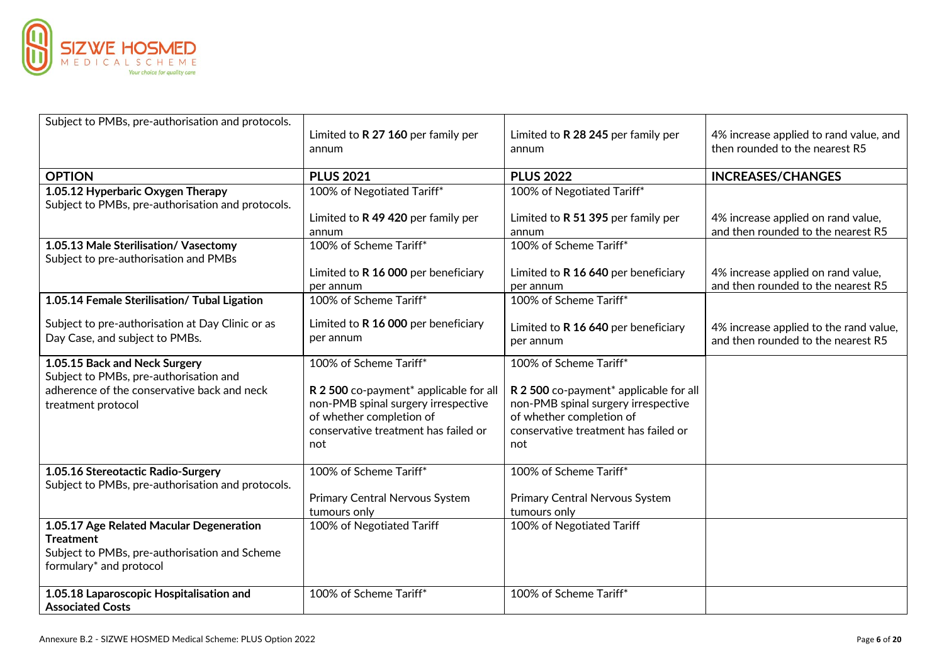

| Subject to PMBs, pre-authorisation and protocols.                                                                                            | Limited to R 27 160 per family per<br>annum                                                                                                                                 | Limited to R 28 245 per family per<br>annum                                                                                                                                 | 4% increase applied to rand value, and<br>then rounded to the nearest R5     |
|----------------------------------------------------------------------------------------------------------------------------------------------|-----------------------------------------------------------------------------------------------------------------------------------------------------------------------------|-----------------------------------------------------------------------------------------------------------------------------------------------------------------------------|------------------------------------------------------------------------------|
| <b>OPTION</b>                                                                                                                                | <b>PLUS 2021</b>                                                                                                                                                            | <b>PLUS 2022</b>                                                                                                                                                            | <b>INCREASES/CHANGES</b>                                                     |
| 1.05.12 Hyperbaric Oxygen Therapy<br>Subject to PMBs, pre-authorisation and protocols.                                                       | 100% of Negotiated Tariff*                                                                                                                                                  | 100% of Negotiated Tariff*                                                                                                                                                  |                                                                              |
|                                                                                                                                              | Limited to R 49 420 per family per<br>annum                                                                                                                                 | Limited to R 51 395 per family per<br>annum                                                                                                                                 | 4% increase applied on rand value,<br>and then rounded to the nearest R5     |
| 1.05.13 Male Sterilisation/ Vasectomy<br>Subject to pre-authorisation and PMBs                                                               | 100% of Scheme Tariff*                                                                                                                                                      | 100% of Scheme Tariff*                                                                                                                                                      |                                                                              |
|                                                                                                                                              | Limited to R 16 000 per beneficiary<br>per annum                                                                                                                            | Limited to R 16 640 per beneficiary<br>per annum                                                                                                                            | 4% increase applied on rand value,<br>and then rounded to the nearest R5     |
| 1.05.14 Female Sterilisation/ Tubal Ligation                                                                                                 | 100% of Scheme Tariff*                                                                                                                                                      | 100% of Scheme Tariff*                                                                                                                                                      |                                                                              |
| Subject to pre-authorisation at Day Clinic or as<br>Day Case, and subject to PMBs.                                                           | Limited to R 16 000 per beneficiary<br>per annum                                                                                                                            | Limited to R 16 640 per beneficiary<br>per annum                                                                                                                            | 4% increase applied to the rand value,<br>and then rounded to the nearest R5 |
| 1.05.15 Back and Neck Surgery<br>Subject to PMBs, pre-authorisation and<br>adherence of the conservative back and neck<br>treatment protocol | 100% of Scheme Tariff*<br>R 2 500 co-payment* applicable for all<br>non-PMB spinal surgery irrespective<br>of whether completion of<br>conservative treatment has failed or | 100% of Scheme Tariff*<br>R 2 500 co-payment* applicable for all<br>non-PMB spinal surgery irrespective<br>of whether completion of<br>conservative treatment has failed or |                                                                              |
|                                                                                                                                              | not                                                                                                                                                                         | not                                                                                                                                                                         |                                                                              |
| 1.05.16 Stereotactic Radio-Surgery<br>Subject to PMBs, pre-authorisation and protocols.                                                      | 100% of Scheme Tariff*                                                                                                                                                      | 100% of Scheme Tariff*                                                                                                                                                      |                                                                              |
|                                                                                                                                              | Primary Central Nervous System<br>tumours only                                                                                                                              | Primary Central Nervous System<br>tumours only                                                                                                                              |                                                                              |
| 1.05.17 Age Related Macular Degeneration<br><b>Treatment</b><br>Subject to PMBs, pre-authorisation and Scheme<br>formulary* and protocol     | 100% of Negotiated Tariff                                                                                                                                                   | 100% of Negotiated Tariff                                                                                                                                                   |                                                                              |
| 1.05.18 Laparoscopic Hospitalisation and<br><b>Associated Costs</b>                                                                          | 100% of Scheme Tariff*                                                                                                                                                      | 100% of Scheme Tariff*                                                                                                                                                      |                                                                              |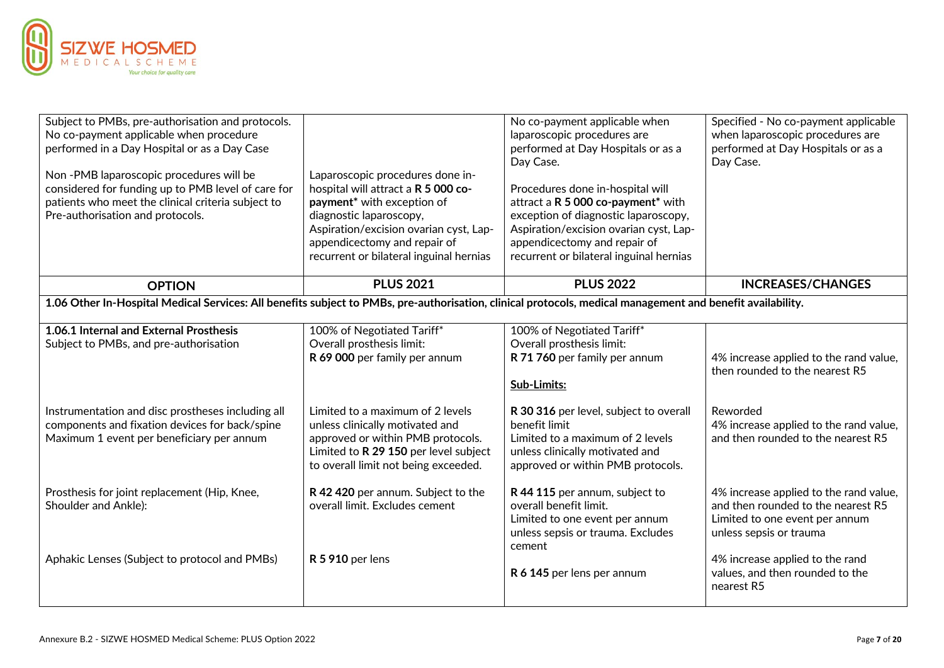

| Subject to PMBs, pre-authorisation and protocols.<br>No co-payment applicable when procedure<br>performed in a Day Hospital or as a Day Case<br>Non-PMB laparoscopic procedures will be<br>considered for funding up to PMB level of care for<br>patients who meet the clinical criteria subject to<br>Pre-authorisation and protocols. | Laparoscopic procedures done in-<br>hospital will attract a R 5 000 co-<br>payment <sup>*</sup> with exception of<br>diagnostic laparoscopy,<br>Aspiration/excision ovarian cyst, Lap-<br>appendicectomy and repair of<br>recurrent or bilateral inguinal hernias | No co-payment applicable when<br>laparoscopic procedures are<br>performed at Day Hospitals or as a<br>Day Case.<br>Procedures done in-hospital will<br>attract a R 5 000 co-payment* with<br>exception of diagnostic laparoscopy,<br>Aspiration/excision ovarian cyst, Lap-<br>appendicectomy and repair of<br>recurrent or bilateral inguinal hernias | Specified - No co-payment applicable<br>when laparoscopic procedures are<br>performed at Day Hospitals or as a<br>Day Case.               |
|-----------------------------------------------------------------------------------------------------------------------------------------------------------------------------------------------------------------------------------------------------------------------------------------------------------------------------------------|-------------------------------------------------------------------------------------------------------------------------------------------------------------------------------------------------------------------------------------------------------------------|--------------------------------------------------------------------------------------------------------------------------------------------------------------------------------------------------------------------------------------------------------------------------------------------------------------------------------------------------------|-------------------------------------------------------------------------------------------------------------------------------------------|
| <b>OPTION</b>                                                                                                                                                                                                                                                                                                                           | <b>PLUS 2021</b>                                                                                                                                                                                                                                                  | <b>PLUS 2022</b>                                                                                                                                                                                                                                                                                                                                       | <b>INCREASES/CHANGES</b>                                                                                                                  |
| 1.06 Other In-Hospital Medical Services: All benefits subject to PMBs, pre-authorisation, clinical protocols, medical management and benefit availability.                                                                                                                                                                              |                                                                                                                                                                                                                                                                   |                                                                                                                                                                                                                                                                                                                                                        |                                                                                                                                           |
| 1.06.1 Internal and External Prosthesis<br>Subject to PMBs, and pre-authorisation                                                                                                                                                                                                                                                       | 100% of Negotiated Tariff*<br>Overall prosthesis limit:<br>R 69 000 per family per annum                                                                                                                                                                          | 100% of Negotiated Tariff*<br>Overall prosthesis limit:<br>R 71 760 per family per annum<br>Sub-Limits:                                                                                                                                                                                                                                                | 4% increase applied to the rand value,<br>then rounded to the nearest R5                                                                  |
| Instrumentation and disc prostheses including all<br>components and fixation devices for back/spine<br>Maximum 1 event per beneficiary per annum                                                                                                                                                                                        | Limited to a maximum of 2 levels<br>unless clinically motivated and<br>approved or within PMB protocols.<br>Limited to R 29 150 per level subject<br>to overall limit not being exceeded.                                                                         | R 30 316 per level, subject to overall<br>benefit limit<br>Limited to a maximum of 2 levels<br>unless clinically motivated and<br>approved or within PMB protocols.                                                                                                                                                                                    | Reworded<br>4% increase applied to the rand value,<br>and then rounded to the nearest R5                                                  |
| Prosthesis for joint replacement (Hip, Knee,<br>Shoulder and Ankle):                                                                                                                                                                                                                                                                    | R 42 420 per annum. Subject to the<br>overall limit. Excludes cement                                                                                                                                                                                              | R 44 115 per annum, subject to<br>overall benefit limit.<br>Limited to one event per annum<br>unless sepsis or trauma. Excludes<br>cement                                                                                                                                                                                                              | 4% increase applied to the rand value,<br>and then rounded to the nearest R5<br>Limited to one event per annum<br>unless sepsis or trauma |
| Aphakic Lenses (Subject to protocol and PMBs)                                                                                                                                                                                                                                                                                           | R 5 910 per lens                                                                                                                                                                                                                                                  | R 6 145 per lens per annum                                                                                                                                                                                                                                                                                                                             | 4% increase applied to the rand<br>values, and then rounded to the<br>nearest R5                                                          |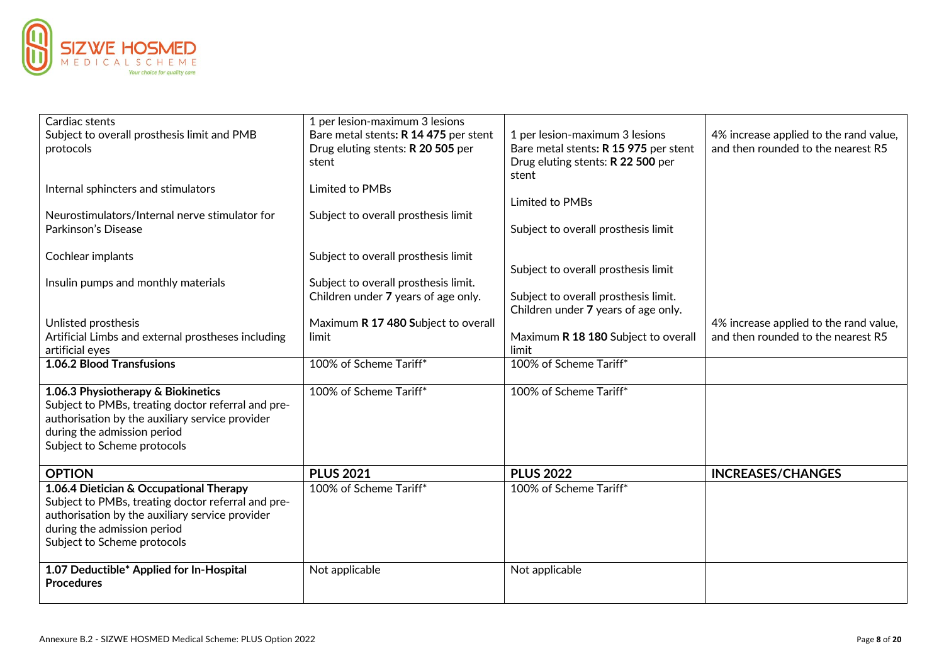

| Cardiac stents<br>Subject to overall prosthesis limit and PMB<br>protocols                                                                                                                                     | 1 per lesion-maximum 3 lesions<br>Bare metal stents: R 14 475 per stent<br>Drug eluting stents: R 20 505 per<br>stent | 1 per lesion-maximum 3 lesions<br>Bare metal stents: R 15 975 per stent<br>Drug eluting stents: R 22 500 per<br>stent | 4% increase applied to the rand value,<br>and then rounded to the nearest R5 |
|----------------------------------------------------------------------------------------------------------------------------------------------------------------------------------------------------------------|-----------------------------------------------------------------------------------------------------------------------|-----------------------------------------------------------------------------------------------------------------------|------------------------------------------------------------------------------|
| Internal sphincters and stimulators                                                                                                                                                                            | Limited to PMBs                                                                                                       | Limited to PMBs                                                                                                       |                                                                              |
| Neurostimulators/Internal nerve stimulator for<br>Parkinson's Disease                                                                                                                                          | Subject to overall prosthesis limit                                                                                   | Subject to overall prosthesis limit                                                                                   |                                                                              |
| Cochlear implants                                                                                                                                                                                              | Subject to overall prosthesis limit                                                                                   | Subject to overall prosthesis limit                                                                                   |                                                                              |
| Insulin pumps and monthly materials                                                                                                                                                                            | Subject to overall prosthesis limit.<br>Children under 7 years of age only.                                           | Subject to overall prosthesis limit.<br>Children under 7 years of age only.                                           |                                                                              |
| Unlisted prosthesis<br>Artificial Limbs and external prostheses including<br>artificial eyes                                                                                                                   | Maximum R 17 480 Subject to overall<br>limit                                                                          | Maximum R 18 180 Subject to overall<br>limit                                                                          | 4% increase applied to the rand value,<br>and then rounded to the nearest R5 |
| <b>1.06.2 Blood Transfusions</b>                                                                                                                                                                               | 100% of Scheme Tariff*                                                                                                | 100% of Scheme Tariff*                                                                                                |                                                                              |
| 1.06.3 Physiotherapy & Biokinetics<br>Subject to PMBs, treating doctor referral and pre-<br>authorisation by the auxiliary service provider<br>during the admission period<br>Subject to Scheme protocols      | 100% of Scheme Tariff*                                                                                                | 100% of Scheme Tariff*                                                                                                |                                                                              |
| <b>OPTION</b>                                                                                                                                                                                                  | <b>PLUS 2021</b>                                                                                                      | <b>PLUS 2022</b>                                                                                                      | <b>INCREASES/CHANGES</b>                                                     |
| 1.06.4 Dietician & Occupational Therapy<br>Subject to PMBs, treating doctor referral and pre-<br>authorisation by the auxiliary service provider<br>during the admission period<br>Subject to Scheme protocols | 100% of Scheme Tariff*                                                                                                | 100% of Scheme Tariff*                                                                                                |                                                                              |
| 1.07 Deductible* Applied for In-Hospital<br><b>Procedures</b>                                                                                                                                                  | Not applicable                                                                                                        | Not applicable                                                                                                        |                                                                              |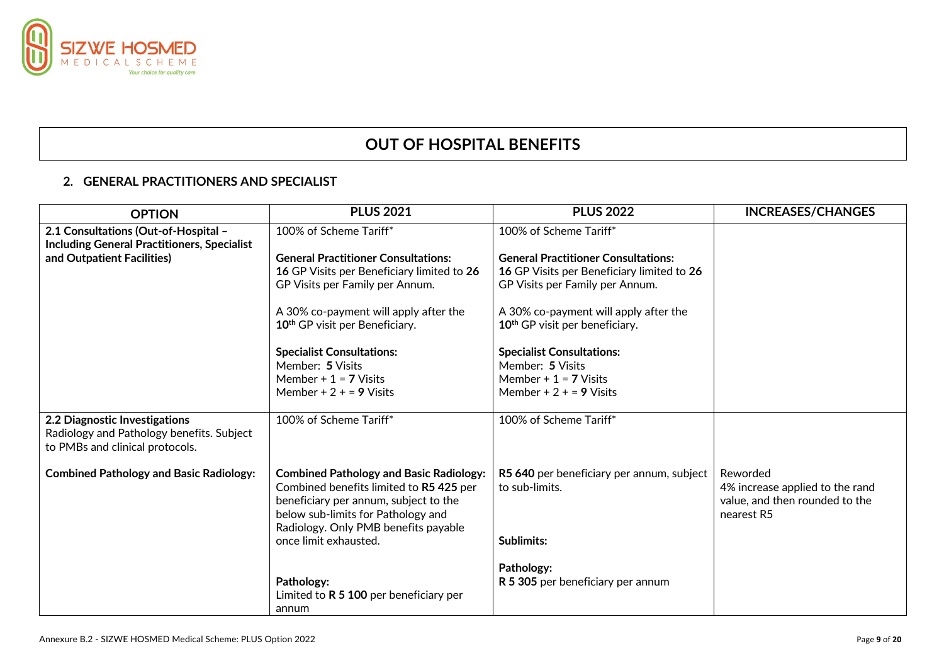

# **OUT OF HOSPITAL BENEFITS**

# **2. GENERAL PRACTITIONERS AND SPECIALIST**

| <b>OPTION</b>                                                                                                 | <b>PLUS 2021</b>                                                                                                                                               | <b>PLUS 2022</b>                           | <b>INCREASES/CHANGES</b>                                                        |
|---------------------------------------------------------------------------------------------------------------|----------------------------------------------------------------------------------------------------------------------------------------------------------------|--------------------------------------------|---------------------------------------------------------------------------------|
| 2.1 Consultations (Out-of-Hospital -<br><b>Including General Practitioners, Specialist</b>                    | 100% of Scheme Tariff*                                                                                                                                         | 100% of Scheme Tariff*                     |                                                                                 |
| and Outpatient Facilities)                                                                                    | <b>General Practitioner Consultations:</b>                                                                                                                     | <b>General Practitioner Consultations:</b> |                                                                                 |
|                                                                                                               | 16 GP Visits per Beneficiary limited to 26                                                                                                                     | 16 GP Visits per Beneficiary limited to 26 |                                                                                 |
|                                                                                                               | GP Visits per Family per Annum.                                                                                                                                | GP Visits per Family per Annum.            |                                                                                 |
|                                                                                                               | A 30% co-payment will apply after the                                                                                                                          | A 30% co-payment will apply after the      |                                                                                 |
|                                                                                                               | 10 <sup>th</sup> GP visit per Beneficiary.                                                                                                                     | 10 <sup>th</sup> GP visit per beneficiary. |                                                                                 |
|                                                                                                               | <b>Specialist Consultations:</b>                                                                                                                               | <b>Specialist Consultations:</b>           |                                                                                 |
|                                                                                                               | Member: 5 Visits                                                                                                                                               | Member: 5 Visits                           |                                                                                 |
|                                                                                                               | Member $+1 = 7$ Visits                                                                                                                                         | Member + $1 = 7$ Visits                    |                                                                                 |
|                                                                                                               | Member + $2 + 9$ Visits                                                                                                                                        | Member + $2 + 5 = 9$ Visits                |                                                                                 |
| 2.2 Diagnostic Investigations<br>Radiology and Pathology benefits. Subject<br>to PMBs and clinical protocols. | 100% of Scheme Tariff*                                                                                                                                         | 100% of Scheme Tariff*                     |                                                                                 |
| <b>Combined Pathology and Basic Radiology:</b>                                                                | <b>Combined Pathology and Basic Radiology:</b>                                                                                                                 | R5 640 per beneficiary per annum, subject  | Reworded                                                                        |
|                                                                                                               | Combined benefits limited to R5 425 per<br>beneficiary per annum, subject to the<br>below sub-limits for Pathology and<br>Radiology. Only PMB benefits payable | to sub-limits.                             | 4% increase applied to the rand<br>value, and then rounded to the<br>nearest R5 |
|                                                                                                               | once limit exhausted.                                                                                                                                          | <b>Sublimits:</b>                          |                                                                                 |
|                                                                                                               |                                                                                                                                                                | Pathology:                                 |                                                                                 |
|                                                                                                               | Pathology:                                                                                                                                                     | R 5 305 per beneficiary per annum          |                                                                                 |
|                                                                                                               | Limited to $R$ 5 100 per beneficiary per                                                                                                                       |                                            |                                                                                 |
|                                                                                                               | annum                                                                                                                                                          |                                            |                                                                                 |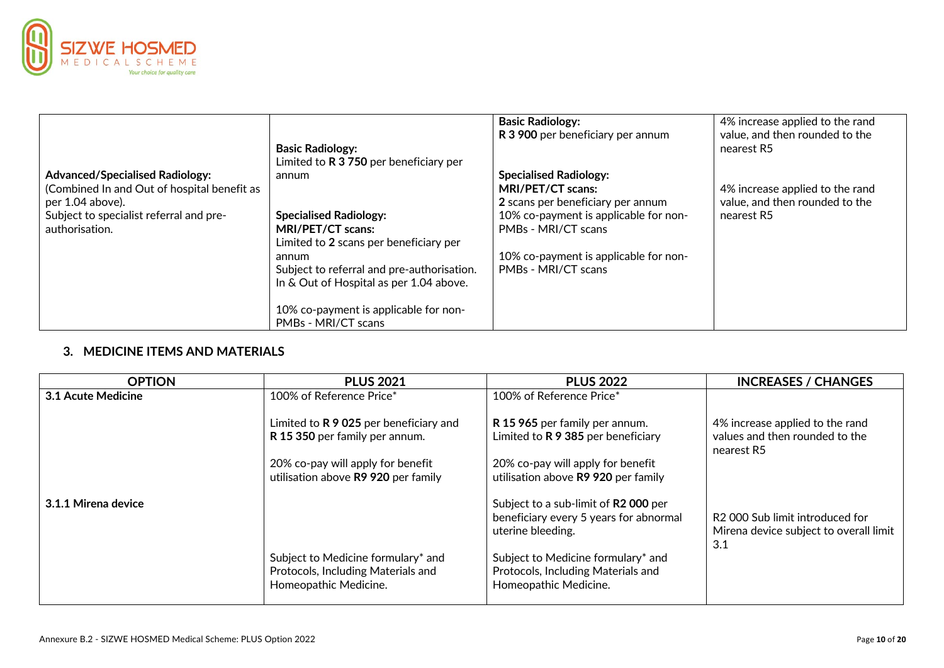

| <b>Advanced/Specialised Radiology:</b><br>(Combined In and Out of hospital benefit as<br>per 1.04 above).<br>Subject to specialist referral and pre-<br>authorisation. | <b>Basic Radiology:</b><br>Limited to $R$ 3 750 per beneficiary per<br>annum<br><b>Specialised Radiology:</b><br>MRI/PET/CT scans:<br>Limited to 2 scans per beneficiary per<br>annum | <b>Basic Radiology:</b><br>R 3 900 per beneficiary per annum<br><b>Specialised Radiology:</b><br>MRI/PET/CT scans:<br>2 scans per beneficiary per annum<br>10% co-payment is applicable for non-<br>PMBs - MRI/CT scans<br>10% co-payment is applicable for non- | 4% increase applied to the rand<br>value, and then rounded to the<br>nearest R5<br>4% increase applied to the rand<br>value, and then rounded to the<br>nearest R5 |
|------------------------------------------------------------------------------------------------------------------------------------------------------------------------|---------------------------------------------------------------------------------------------------------------------------------------------------------------------------------------|------------------------------------------------------------------------------------------------------------------------------------------------------------------------------------------------------------------------------------------------------------------|--------------------------------------------------------------------------------------------------------------------------------------------------------------------|
|                                                                                                                                                                        | Subject to referral and pre-authorisation.<br>In & Out of Hospital as per 1.04 above.                                                                                                 | PMBs - MRI/CT scans                                                                                                                                                                                                                                              |                                                                                                                                                                    |
|                                                                                                                                                                        | 10% co-payment is applicable for non-<br>PMBs - MRI/CT scans                                                                                                                          |                                                                                                                                                                                                                                                                  |                                                                                                                                                                    |

# **3. MEDICINE ITEMS AND MATERIALS**

| <b>OPTION</b>       | <b>PLUS 2021</b>                                                                                  | <b>PLUS 2022</b>                                                                                    | <b>INCREASES / CHANGES</b>                                                       |
|---------------------|---------------------------------------------------------------------------------------------------|-----------------------------------------------------------------------------------------------------|----------------------------------------------------------------------------------|
| 3.1 Acute Medicine  | 100% of Reference Price*                                                                          | 100% of Reference Price*                                                                            |                                                                                  |
|                     | Limited to R 9 025 per beneficiary and<br>R 15 350 per family per annum.                          | R 15 965 per family per annum.<br>Limited to R 9 385 per beneficiary                                | 4% increase applied to the rand<br>values and then rounded to the<br>nearest R5  |
|                     | 20% co-pay will apply for benefit<br>utilisation above R9 920 per family                          | 20% co-pay will apply for benefit<br>utilisation above R9 920 per family                            |                                                                                  |
| 3.1.1 Mirena device |                                                                                                   | Subject to a sub-limit of R2 000 per<br>beneficiary every 5 years for abnormal<br>uterine bleeding. | R2 000 Sub limit introduced for<br>Mirena device subject to overall limit<br>3.1 |
|                     | Subject to Medicine formulary* and<br>Protocols, Including Materials and<br>Homeopathic Medicine. | Subject to Medicine formulary* and<br>Protocols, Including Materials and<br>Homeopathic Medicine.   |                                                                                  |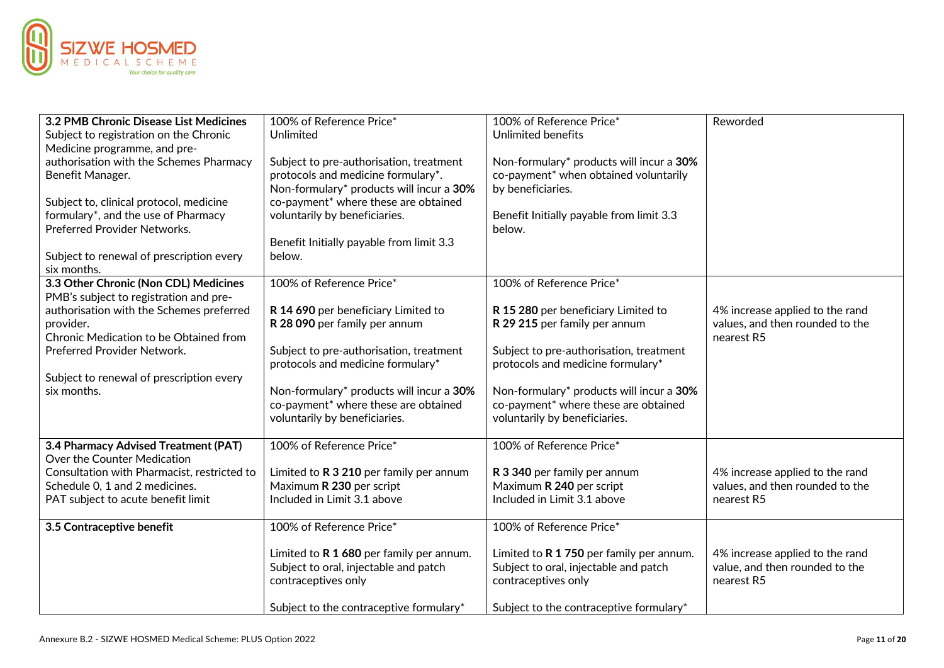

| 3.2 PMB Chronic Disease List Medicines<br>Subject to registration on the Chronic<br>Medicine programme, and pre-<br>authorisation with the Schemes Pharmacy<br>Benefit Manager.<br>Subject to, clinical protocol, medicine<br>formulary*, and the use of Pharmacy<br><b>Preferred Provider Networks.</b><br>Subject to renewal of prescription every<br>six months. | 100% of Reference Price*<br>Unlimited<br>Subject to pre-authorisation, treatment<br>protocols and medicine formulary*.<br>Non-formulary* products will incur a 30%<br>co-payment* where these are obtained<br>voluntarily by beneficiaries.<br>Benefit Initially payable from limit 3.3<br>below. | 100% of Reference Price*<br><b>Unlimited benefits</b><br>Non-formulary* products will incur a 30%<br>co-payment* when obtained voluntarily<br>by beneficiaries.<br>Benefit Initially payable from limit 3.3<br>below. | Reworded                                                                         |
|---------------------------------------------------------------------------------------------------------------------------------------------------------------------------------------------------------------------------------------------------------------------------------------------------------------------------------------------------------------------|---------------------------------------------------------------------------------------------------------------------------------------------------------------------------------------------------------------------------------------------------------------------------------------------------|-----------------------------------------------------------------------------------------------------------------------------------------------------------------------------------------------------------------------|----------------------------------------------------------------------------------|
| 3.3 Other Chronic (Non CDL) Medicines                                                                                                                                                                                                                                                                                                                               | 100% of Reference Price*                                                                                                                                                                                                                                                                          | 100% of Reference Price*                                                                                                                                                                                              |                                                                                  |
| PMB's subject to registration and pre-<br>authorisation with the Schemes preferred<br>provider.<br>Chronic Medication to be Obtained from<br>Preferred Provider Network.<br>Subject to renewal of prescription every<br>six months.                                                                                                                                 | R 14 690 per beneficiary Limited to<br>R 28 090 per family per annum<br>Subject to pre-authorisation, treatment<br>protocols and medicine formulary*<br>Non-formulary* products will incur a 30%                                                                                                  | R 15 280 per beneficiary Limited to<br>R 29 215 per family per annum<br>Subject to pre-authorisation, treatment<br>protocols and medicine formulary*<br>Non-formulary* products will incur a 30%                      | 4% increase applied to the rand<br>values, and then rounded to the<br>nearest R5 |
|                                                                                                                                                                                                                                                                                                                                                                     | co-payment* where these are obtained<br>voluntarily by beneficiaries.                                                                                                                                                                                                                             | co-payment* where these are obtained<br>voluntarily by beneficiaries.                                                                                                                                                 |                                                                                  |
| 3.4 Pharmacy Advised Treatment (PAT)                                                                                                                                                                                                                                                                                                                                | 100% of Reference Price*                                                                                                                                                                                                                                                                          | 100% of Reference Price*                                                                                                                                                                                              |                                                                                  |
| Over the Counter Medication<br>Consultation with Pharmacist, restricted to<br>Schedule 0, 1 and 2 medicines.<br>PAT subject to acute benefit limit                                                                                                                                                                                                                  | Limited to R 3 210 per family per annum<br>Maximum R 230 per script<br>Included in Limit 3.1 above                                                                                                                                                                                                | R 3 340 per family per annum<br>Maximum R 240 per script<br>Included in Limit 3.1 above                                                                                                                               | 4% increase applied to the rand<br>values, and then rounded to the<br>nearest R5 |
| 3.5 Contraceptive benefit                                                                                                                                                                                                                                                                                                                                           | 100% of Reference Price*                                                                                                                                                                                                                                                                          | 100% of Reference Price*                                                                                                                                                                                              |                                                                                  |
|                                                                                                                                                                                                                                                                                                                                                                     | Limited to R 1 680 per family per annum.<br>Subject to oral, injectable and patch<br>contraceptives only<br>Subject to the contraceptive formulary*                                                                                                                                               | Limited to R 1 750 per family per annum.<br>Subject to oral, injectable and patch<br>contraceptives only<br>Subject to the contraceptive formulary*                                                                   | 4% increase applied to the rand<br>value, and then rounded to the<br>nearest R5  |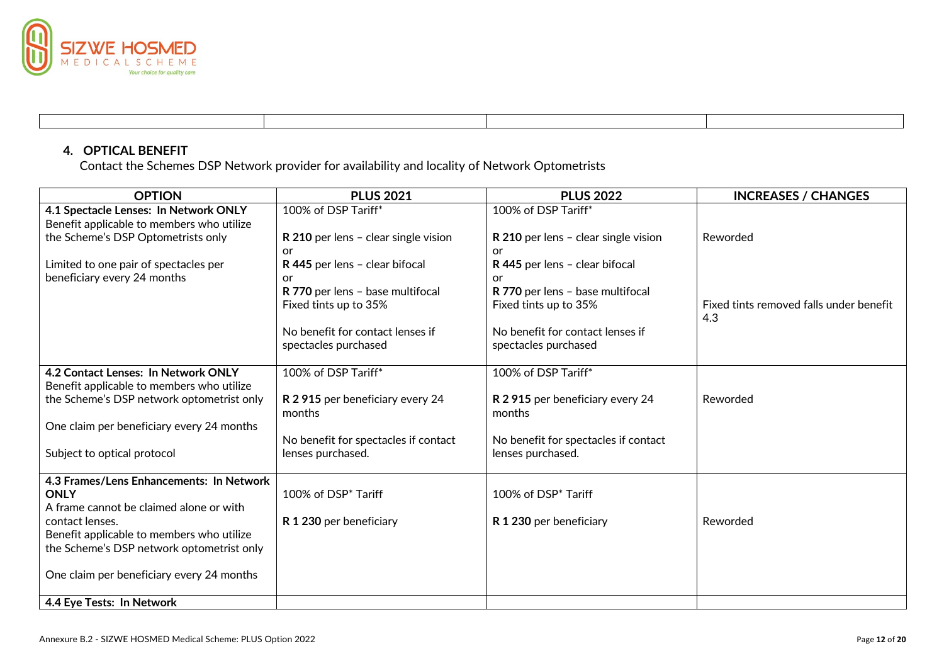

# **4. OPTICAL BENEFIT**

Contact the Schemes DSP Network provider for availability and locality of Network Optometrists

| <b>OPTION</b>                                           | <b>PLUS 2021</b>                                          | <b>PLUS 2022</b>                                          | <b>INCREASES / CHANGES</b>              |
|---------------------------------------------------------|-----------------------------------------------------------|-----------------------------------------------------------|-----------------------------------------|
| 4.1 Spectacle Lenses: In Network ONLY                   | 100% of DSP Tariff*                                       | 100% of DSP Tariff*                                       |                                         |
| Benefit applicable to members who utilize               |                                                           |                                                           |                                         |
| the Scheme's DSP Optometrists only                      | R 210 per lens - clear single vision                      | R 210 per lens - clear single vision                      | Reworded                                |
|                                                         | or                                                        | or                                                        |                                         |
| Limited to one pair of spectacles per                   | R 445 per lens - clear bifocal                            | R 445 per lens - clear bifocal                            |                                         |
| beneficiary every 24 months                             | or                                                        | or                                                        |                                         |
|                                                         | R 770 per lens - base multifocal<br>Fixed tints up to 35% | R 770 per lens - base multifocal<br>Fixed tints up to 35% | Fixed tints removed falls under benefit |
|                                                         |                                                           |                                                           | 4.3                                     |
|                                                         | No benefit for contact lenses if                          | No benefit for contact lenses if                          |                                         |
|                                                         | spectacles purchased                                      | spectacles purchased                                      |                                         |
|                                                         |                                                           |                                                           |                                         |
| 4.2 Contact Lenses: In Network ONLY                     | 100% of DSP Tariff*                                       | 100% of DSP Tariff*                                       |                                         |
| Benefit applicable to members who utilize               |                                                           |                                                           |                                         |
| the Scheme's DSP network optometrist only               | R 2 915 per beneficiary every 24                          | R 2 915 per beneficiary every 24                          | Reworded                                |
|                                                         | months                                                    | months                                                    |                                         |
| One claim per beneficiary every 24 months               |                                                           |                                                           |                                         |
|                                                         | No benefit for spectacles if contact                      | No benefit for spectacles if contact                      |                                         |
| Subject to optical protocol                             | lenses purchased.                                         | lenses purchased.                                         |                                         |
|                                                         |                                                           |                                                           |                                         |
| 4.3 Frames/Lens Enhancements: In Network<br><b>ONLY</b> | 100% of DSP <sup>*</sup> Tariff                           | 100% of DSP* Tariff                                       |                                         |
| A frame cannot be claimed alone or with                 |                                                           |                                                           |                                         |
| contact lenses.                                         | R 1 230 per beneficiary                                   | R 1 230 per beneficiary                                   | Reworded                                |
| Benefit applicable to members who utilize               |                                                           |                                                           |                                         |
| the Scheme's DSP network optometrist only               |                                                           |                                                           |                                         |
|                                                         |                                                           |                                                           |                                         |
| One claim per beneficiary every 24 months               |                                                           |                                                           |                                         |
|                                                         |                                                           |                                                           |                                         |
| 4.4 Eye Tests: In Network                               |                                                           |                                                           |                                         |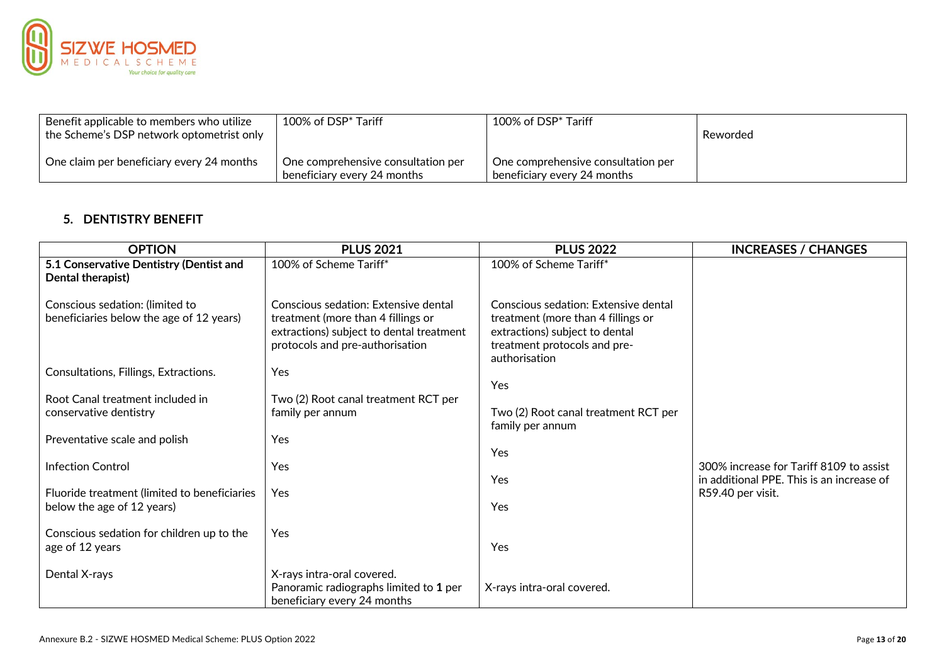

| $\,$ Benefit applicable to members who utilize<br>the Scheme's DSP network optometrist only | 100% of DSP* Tariff                                               | 100% of DSP <sup>*</sup> Tariff                                   | Reworded |
|---------------------------------------------------------------------------------------------|-------------------------------------------------------------------|-------------------------------------------------------------------|----------|
| One claim per beneficiary every 24 months                                                   | One comprehensive consultation per<br>beneficiary every 24 months | One comprehensive consultation per<br>beneficiary every 24 months |          |

# **5. DENTISTRY BENEFIT**

| <b>OPTION</b>                                                               | <b>PLUS 2021</b>                                                                                                                                          | <b>PLUS 2022</b>                                                                                                                                              | <b>INCREASES / CHANGES</b>                                                           |
|-----------------------------------------------------------------------------|-----------------------------------------------------------------------------------------------------------------------------------------------------------|---------------------------------------------------------------------------------------------------------------------------------------------------------------|--------------------------------------------------------------------------------------|
| 5.1 Conservative Dentistry (Dentist and<br>Dental therapist)                | 100% of Scheme Tariff*                                                                                                                                    | 100% of Scheme Tariff*                                                                                                                                        |                                                                                      |
| Conscious sedation: (limited to<br>beneficiaries below the age of 12 years) | Conscious sedation: Extensive dental<br>treatment (more than 4 fillings or<br>extractions) subject to dental treatment<br>protocols and pre-authorisation | Conscious sedation: Extensive dental<br>treatment (more than 4 fillings or<br>extractions) subject to dental<br>treatment protocols and pre-<br>authorisation |                                                                                      |
| Consultations, Fillings, Extractions.                                       | Yes                                                                                                                                                       | Yes                                                                                                                                                           |                                                                                      |
| Root Canal treatment included in<br>conservative dentistry                  | Two (2) Root canal treatment RCT per<br>family per annum                                                                                                  | Two (2) Root canal treatment RCT per<br>family per annum                                                                                                      |                                                                                      |
| Preventative scale and polish                                               | Yes                                                                                                                                                       | Yes                                                                                                                                                           |                                                                                      |
| <b>Infection Control</b>                                                    | Yes                                                                                                                                                       | Yes                                                                                                                                                           | 300% increase for Tariff 8109 to assist<br>in additional PPE. This is an increase of |
| Fluoride treatment (limited to beneficiaries<br>below the age of 12 years)  | Yes                                                                                                                                                       | Yes                                                                                                                                                           | R59.40 per visit.                                                                    |
| Conscious sedation for children up to the<br>age of 12 years                | <b>Yes</b>                                                                                                                                                | Yes                                                                                                                                                           |                                                                                      |
| Dental X-rays                                                               | X-rays intra-oral covered.<br>Panoramic radiographs limited to 1 per<br>beneficiary every 24 months                                                       | X-rays intra-oral covered.                                                                                                                                    |                                                                                      |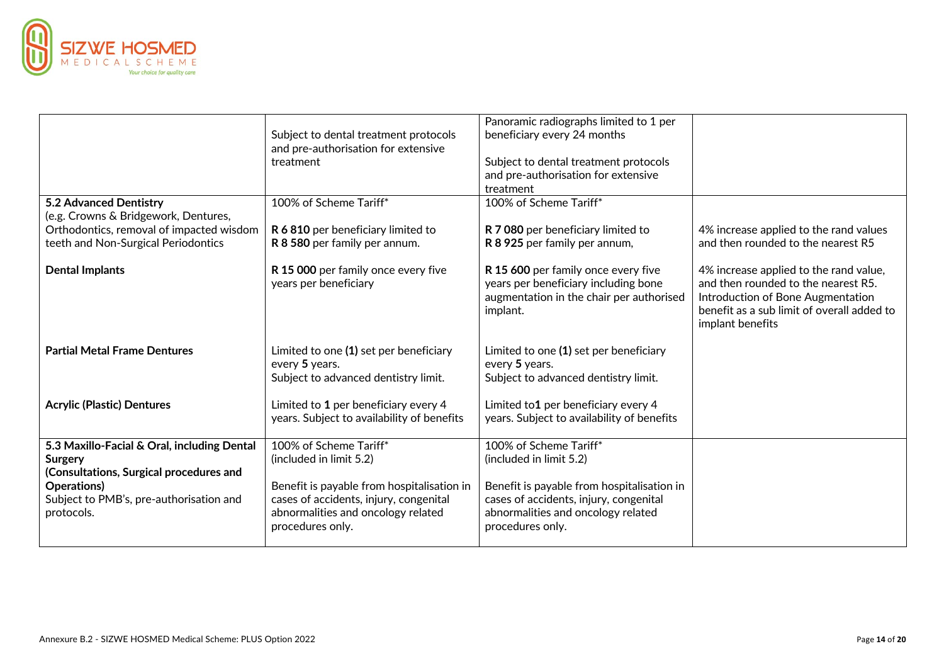

|                                                        | Subject to dental treatment protocols                                                            | Panoramic radiographs limited to 1 per<br>beneficiary every 24 months                                                               |                                                                                                                                                                                      |
|--------------------------------------------------------|--------------------------------------------------------------------------------------------------|-------------------------------------------------------------------------------------------------------------------------------------|--------------------------------------------------------------------------------------------------------------------------------------------------------------------------------------|
|                                                        | and pre-authorisation for extensive                                                              |                                                                                                                                     |                                                                                                                                                                                      |
|                                                        | treatment                                                                                        | Subject to dental treatment protocols                                                                                               |                                                                                                                                                                                      |
|                                                        |                                                                                                  | and pre-authorisation for extensive                                                                                                 |                                                                                                                                                                                      |
|                                                        |                                                                                                  | treatment                                                                                                                           |                                                                                                                                                                                      |
| 5.2 Advanced Dentistry                                 | 100% of Scheme Tariff*                                                                           | 100% of Scheme Tariff*                                                                                                              |                                                                                                                                                                                      |
| (e.g. Crowns & Bridgework, Dentures,                   |                                                                                                  |                                                                                                                                     |                                                                                                                                                                                      |
| Orthodontics, removal of impacted wisdom               | R 6 810 per beneficiary limited to                                                               | R 7 080 per beneficiary limited to                                                                                                  | 4% increase applied to the rand values                                                                                                                                               |
| teeth and Non-Surgical Periodontics                    | R 8 580 per family per annum.                                                                    | R 8 925 per family per annum,                                                                                                       | and then rounded to the nearest R5                                                                                                                                                   |
| <b>Dental Implants</b>                                 | R 15 000 per family once every five<br>years per beneficiary                                     | R 15 600 per family once every five<br>years per beneficiary including bone<br>augmentation in the chair per authorised<br>implant. | 4% increase applied to the rand value,<br>and then rounded to the nearest R5.<br>Introduction of Bone Augmentation<br>benefit as a sub limit of overall added to<br>implant benefits |
| <b>Partial Metal Frame Dentures</b>                    | Limited to one (1) set per beneficiary<br>every 5 years.<br>Subject to advanced dentistry limit. | Limited to one (1) set per beneficiary<br>every 5 years.<br>Subject to advanced dentistry limit.                                    |                                                                                                                                                                                      |
| <b>Acrylic (Plastic) Dentures</b>                      | Limited to 1 per beneficiary every 4<br>years. Subject to availability of benefits               | Limited to1 per beneficiary every 4<br>years. Subject to availability of benefits                                                   |                                                                                                                                                                                      |
| 5.3 Maxillo-Facial & Oral, including Dental            | 100% of Scheme Tariff*                                                                           | 100% of Scheme Tariff*                                                                                                              |                                                                                                                                                                                      |
| Surgery                                                | (included in limit 5.2)                                                                          | (included in limit 5.2)                                                                                                             |                                                                                                                                                                                      |
| (Consultations, Surgical procedures and<br>Operations) |                                                                                                  |                                                                                                                                     |                                                                                                                                                                                      |
| Subject to PMB's, pre-authorisation and                | Benefit is payable from hospitalisation in<br>cases of accidents, injury, congenital             | Benefit is payable from hospitalisation in<br>cases of accidents, injury, congenital                                                |                                                                                                                                                                                      |
| protocols.                                             | abnormalities and oncology related                                                               | abnormalities and oncology related                                                                                                  |                                                                                                                                                                                      |
|                                                        | procedures only.                                                                                 | procedures only.                                                                                                                    |                                                                                                                                                                                      |
|                                                        |                                                                                                  |                                                                                                                                     |                                                                                                                                                                                      |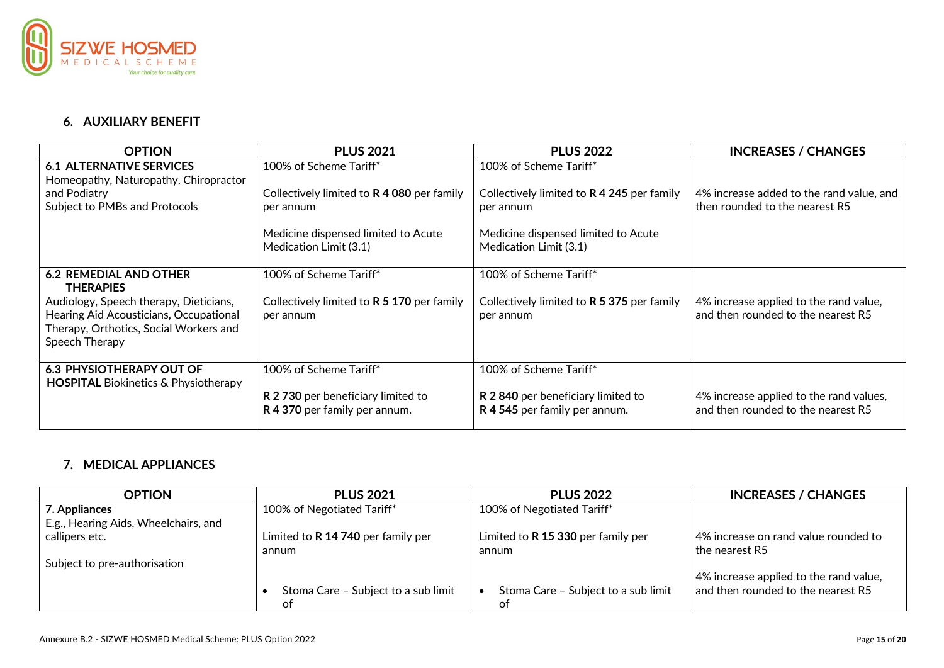

# **6. AUXILIARY BENEFIT**

| <b>OPTION</b>                                                                                                                                | <b>PLUS 2021</b>                                                    | <b>PLUS 2022</b>                                                   | <b>INCREASES / CHANGES</b>                                                    |
|----------------------------------------------------------------------------------------------------------------------------------------------|---------------------------------------------------------------------|--------------------------------------------------------------------|-------------------------------------------------------------------------------|
| <b>6.1 ALTERNATIVE SERVICES</b><br>Homeopathy, Naturopathy, Chiropractor                                                                     | 100% of Scheme Tariff*                                              | 100% of Scheme Tariff*                                             |                                                                               |
| and Podiatry<br>Subject to PMBs and Protocols                                                                                                | Collectively limited to R 4 080 per family<br>per annum             | Collectively limited to R 4 245 per family<br>per annum            | 4% increase added to the rand value, and<br>then rounded to the nearest R5    |
|                                                                                                                                              | Medicine dispensed limited to Acute<br>Medication Limit (3.1)       | Medicine dispensed limited to Acute<br>Medication Limit (3.1)      |                                                                               |
| <b>6.2 REMEDIAL AND OTHER</b><br><b>THERAPIES</b>                                                                                            | 100% of Scheme Tariff*                                              | 100% of Scheme Tariff*                                             |                                                                               |
| Audiology, Speech therapy, Dieticians,<br>Hearing Aid Acousticians, Occupational<br>Therapy, Orthotics, Social Workers and<br>Speech Therapy | Collectively limited to R 5 170 per family<br>per annum             | Collectively limited to R 5 375 per family<br>per annum            | 4% increase applied to the rand value,<br>and then rounded to the nearest R5  |
| <b>6.3 PHYSIOTHERAPY OUT OF</b><br><b>HOSPITAL Biokinetics &amp; Physiotherapy</b>                                                           | 100% of Scheme Tariff*                                              | 100% of Scheme Tariff*                                             |                                                                               |
|                                                                                                                                              | R 2 730 per beneficiary limited to<br>R 4 370 per family per annum. | R 2840 per beneficiary limited to<br>R 4 545 per family per annum. | 4% increase applied to the rand values,<br>and then rounded to the nearest R5 |

# **7. MEDICAL APPLIANCES**

| <b>OPTION</b>                        | <b>PLUS 2021</b>                    | <b>PLUS 2022</b>                    | <b>INCREASES / CHANGES</b>             |
|--------------------------------------|-------------------------------------|-------------------------------------|----------------------------------------|
| 7. Appliances                        | 100% of Negotiated Tariff*          | 100% of Negotiated Tariff*          |                                        |
| E.g., Hearing Aids, Wheelchairs, and |                                     |                                     |                                        |
| callipers etc.                       | Limited to R 14 740 per family per  | Limited to R 15 330 per family per  | 4% increase on rand value rounded to   |
|                                      | annum                               | annum                               | the nearest R5                         |
| Subject to pre-authorisation         |                                     |                                     |                                        |
|                                      |                                     |                                     | 4% increase applied to the rand value, |
|                                      | Stoma Care - Subject to a sub limit | Stoma Care - Subject to a sub limit | and then rounded to the nearest R5     |
|                                      | ot                                  | of                                  |                                        |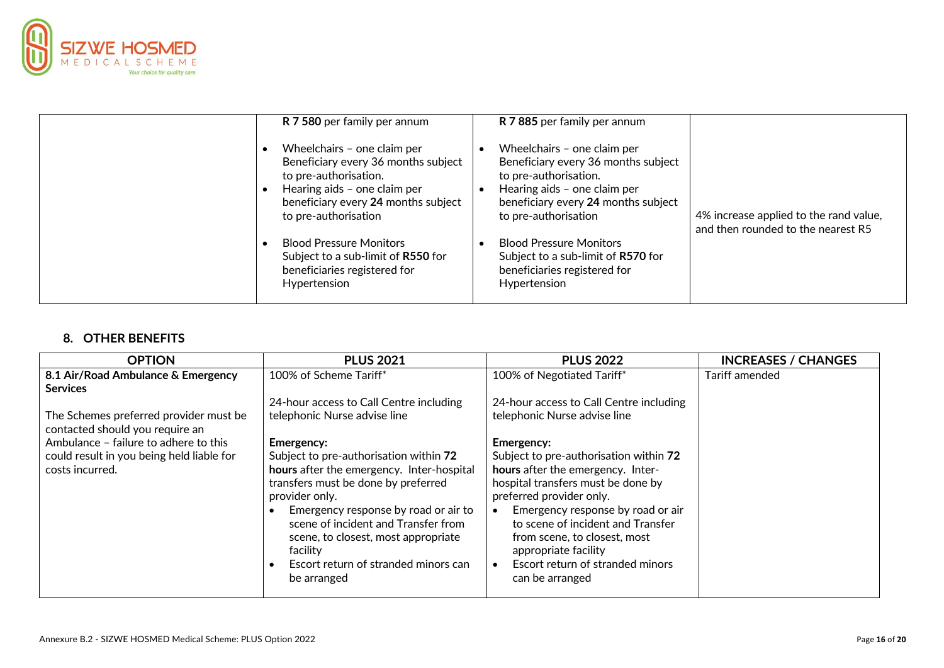

| R 7 580 per family per annum                                                                                                                                                               | R 7 885 per family per annum                                                                                                                                                               |                                                                              |
|--------------------------------------------------------------------------------------------------------------------------------------------------------------------------------------------|--------------------------------------------------------------------------------------------------------------------------------------------------------------------------------------------|------------------------------------------------------------------------------|
| Wheelchairs - one claim per<br>Beneficiary every 36 months subject<br>to pre-authorisation.<br>Hearing aids - one claim per<br>beneficiary every 24 months subject<br>to pre-authorisation | Wheelchairs - one claim per<br>Beneficiary every 36 months subject<br>to pre-authorisation.<br>Hearing aids - one claim per<br>beneficiary every 24 months subject<br>to pre-authorisation | 4% increase applied to the rand value,<br>and then rounded to the nearest R5 |
| <b>Blood Pressure Monitors</b><br>Subject to a sub-limit of R550 for<br>beneficiaries registered for<br>Hypertension                                                                       | <b>Blood Pressure Monitors</b><br>Subject to a sub-limit of R570 for<br>beneficiaries registered for<br>Hypertension                                                                       |                                                                              |

# **8. OTHER BENEFITS**

| <b>OPTION</b>                                                             | <b>PLUS 2021</b>                          | <b>PLUS 2022</b>                               | <b>INCREASES / CHANGES</b> |
|---------------------------------------------------------------------------|-------------------------------------------|------------------------------------------------|----------------------------|
| 8.1 Air/Road Ambulance & Emergency                                        | 100% of Scheme Tariff*                    | 100% of Negotiated Tariff*                     | Tariff amended             |
| <b>Services</b>                                                           |                                           |                                                |                            |
|                                                                           | 24-hour access to Call Centre including   | 24-hour access to Call Centre including        |                            |
| The Schemes preferred provider must be<br>contacted should you require an | telephonic Nurse advise line              | telephonic Nurse advise line                   |                            |
| Ambulance - failure to adhere to this                                     | <b>Emergency:</b>                         | Emergency:                                     |                            |
| could result in you being held liable for                                 | Subject to pre-authorisation within 72    | Subject to pre-authorisation within 72         |                            |
| costs incurred.                                                           | hours after the emergency. Inter-hospital | hours after the emergency. Inter-              |                            |
|                                                                           | transfers must be done by preferred       | hospital transfers must be done by             |                            |
|                                                                           | provider only.                            | preferred provider only.                       |                            |
|                                                                           | Emergency response by road or air to      | Emergency response by road or air<br>$\bullet$ |                            |
|                                                                           | scene of incident and Transfer from       | to scene of incident and Transfer              |                            |
|                                                                           | scene, to closest, most appropriate       | from scene, to closest, most                   |                            |
|                                                                           | facility                                  | appropriate facility                           |                            |
|                                                                           | Escort return of stranded minors can      | Escort return of stranded minors               |                            |
|                                                                           | be arranged                               | can be arranged                                |                            |
|                                                                           |                                           |                                                |                            |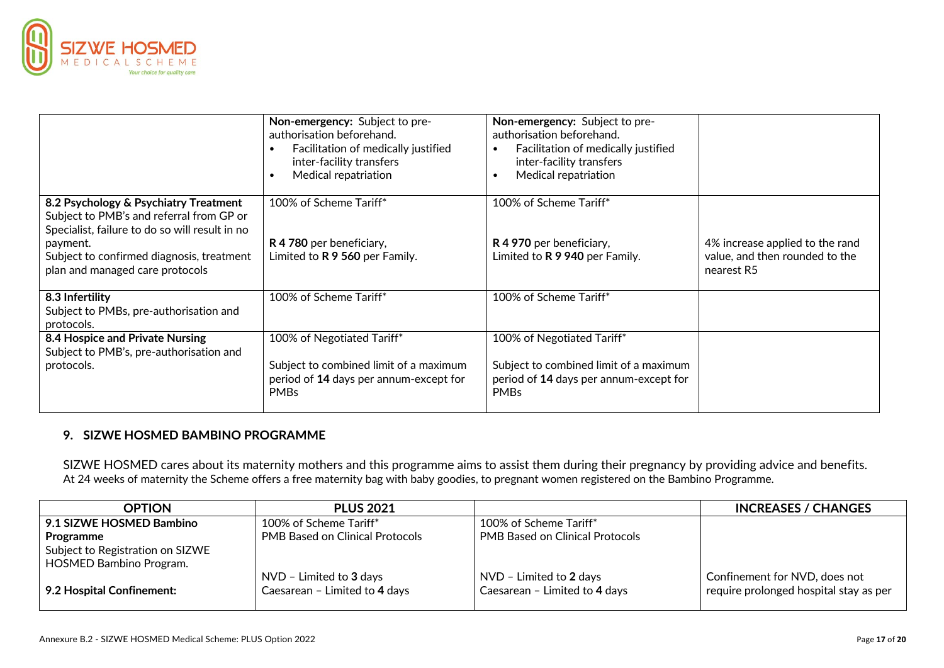

|                                                                                                                                     | Non-emergency: Subject to pre-<br>authorisation beforehand.<br>Facilitation of medically justified<br>inter-facility transfers<br>Medical repatriation | Non-emergency: Subject to pre-<br>authorisation beforehand.<br>Facilitation of medically justified<br>$\bullet$<br>inter-facility transfers<br>Medical repatriation<br>$\bullet$ |                                                                                 |
|-------------------------------------------------------------------------------------------------------------------------------------|--------------------------------------------------------------------------------------------------------------------------------------------------------|----------------------------------------------------------------------------------------------------------------------------------------------------------------------------------|---------------------------------------------------------------------------------|
| 8.2 Psychology & Psychiatry Treatment<br>Subject to PMB's and referral from GP or<br>Specialist, failure to do so will result in no | 100% of Scheme Tariff*                                                                                                                                 | 100% of Scheme Tariff*                                                                                                                                                           |                                                                                 |
| payment.<br>Subject to confirmed diagnosis, treatment<br>plan and managed care protocols                                            | R 4 780 per beneficiary,<br>Limited to R 9 560 per Family.                                                                                             | R 4 970 per beneficiary,<br>Limited to R 9 940 per Family.                                                                                                                       | 4% increase applied to the rand<br>value, and then rounded to the<br>nearest R5 |
| 8.3 Infertility<br>Subject to PMBs, pre-authorisation and<br>protocols.                                                             | 100% of Scheme Tariff*                                                                                                                                 | 100% of Scheme Tariff*                                                                                                                                                           |                                                                                 |
| 8.4 Hospice and Private Nursing<br>Subject to PMB's, pre-authorisation and                                                          | 100% of Negotiated Tariff*                                                                                                                             | 100% of Negotiated Tariff*                                                                                                                                                       |                                                                                 |
| protocols.                                                                                                                          | Subject to combined limit of a maximum<br>period of 14 days per annum-except for<br><b>PMBs</b>                                                        | Subject to combined limit of a maximum<br>period of 14 days per annum-except for<br><b>PMBs</b>                                                                                  |                                                                                 |

# **9. SIZWE HOSMED BAMBINO PROGRAMME**

SIZWE HOSMED cares about its maternity mothers and this programme aims to assist them during their pregnancy by providing advice and benefits. At 24 weeks of maternity the Scheme offers a free maternity bag with baby goodies, to pregnant women registered on the Bambino Programme.

| <b>OPTION</b>                                                      | <b>PLUS 2021</b>                                           |                                                            | <b>INCREASES / CHANGES</b>                                              |
|--------------------------------------------------------------------|------------------------------------------------------------|------------------------------------------------------------|-------------------------------------------------------------------------|
| 9.1 SIZWE HOSMED Bambino                                           | 100% of Scheme Tariff*                                     | 100% of Scheme Tariff*                                     |                                                                         |
| Programme                                                          | <b>PMB Based on Clinical Protocols</b>                     | <b>PMB Based on Clinical Protocols</b>                     |                                                                         |
| Subject to Registration on SIZWE<br><b>HOSMED Bambino Program.</b> |                                                            |                                                            |                                                                         |
| 9.2 Hospital Confinement:                                          | $NVD$ - Limited to 3 days<br>Caesarean - Limited to 4 days | $NVD$ - Limited to 2 days<br>Caesarean - Limited to 4 days | Confinement for NVD, does not<br>require prolonged hospital stay as per |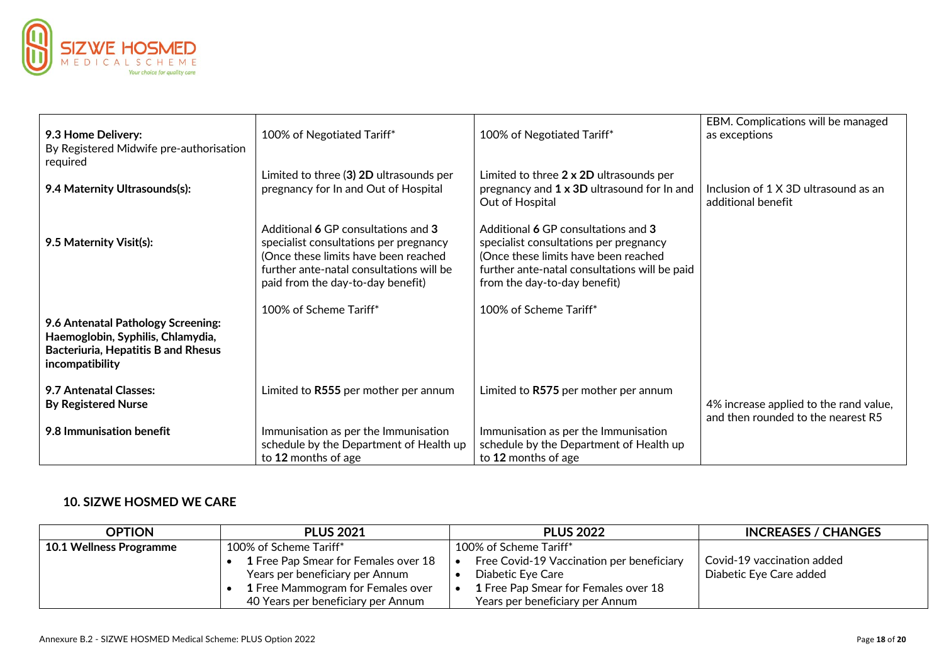

| 9.3 Home Delivery:<br>By Registered Midwife pre-authorisation<br>required                                                                | 100% of Negotiated Tariff*                                                                                                                                                                             | 100% of Negotiated Tariff*                                                                                                                                                                             | EBM. Complications will be managed<br>as exceptions                          |
|------------------------------------------------------------------------------------------------------------------------------------------|--------------------------------------------------------------------------------------------------------------------------------------------------------------------------------------------------------|--------------------------------------------------------------------------------------------------------------------------------------------------------------------------------------------------------|------------------------------------------------------------------------------|
| 9.4 Maternity Ultrasounds(s):                                                                                                            | Limited to three (3) 2D ultrasounds per<br>pregnancy for In and Out of Hospital                                                                                                                        | Limited to three 2 x 2D ultrasounds per<br>pregnancy and 1 x 3D ultrasound for In and<br>Out of Hospital                                                                                               | Inclusion of 1 X 3D ultrasound as an<br>additional benefit                   |
| 9.5 Maternity Visit(s):                                                                                                                  | Additional 6 GP consultations and 3<br>specialist consultations per pregnancy<br>(Once these limits have been reached<br>further ante-natal consultations will be<br>paid from the day-to-day benefit) | Additional 6 GP consultations and 3<br>specialist consultations per pregnancy<br>(Once these limits have been reached<br>further ante-natal consultations will be paid<br>from the day-to-day benefit) |                                                                              |
| 9.6 Antenatal Pathology Screening:<br>Haemoglobin, Syphilis, Chlamydia,<br><b>Bacteriuria, Hepatitis B and Rhesus</b><br>incompatibility | 100% of Scheme Tariff*                                                                                                                                                                                 | 100% of Scheme Tariff*                                                                                                                                                                                 |                                                                              |
| 9.7 Antenatal Classes:<br><b>By Registered Nurse</b>                                                                                     | Limited to R555 per mother per annum                                                                                                                                                                   | Limited to R575 per mother per annum                                                                                                                                                                   | 4% increase applied to the rand value,<br>and then rounded to the nearest R5 |
| 9.8 Immunisation benefit                                                                                                                 | Immunisation as per the Immunisation<br>schedule by the Department of Health up<br>to 12 months of age                                                                                                 | Immunisation as per the Immunisation<br>schedule by the Department of Health up<br>to 12 months of age                                                                                                 |                                                                              |

## **10. SIZWE HOSMED WE CARE**

| <b>OPTION</b>                  | <b>PLUS 2021</b>                         | <b>PLUS 2022</b>                          | <b>INCREASES / CHANGES</b> |
|--------------------------------|------------------------------------------|-------------------------------------------|----------------------------|
| <b>10.1 Wellness Programme</b> | 100% of Scheme Tariff*                   | 100% of Scheme Tariff*                    |                            |
|                                | 1 Free Pap Smear for Females over 18     | Free Covid-19 Vaccination per beneficiary | Covid-19 vaccination added |
|                                | Years per beneficiary per Annum          | Diabetic Eye Care                         | Diabetic Eye Care added    |
|                                | <b>1</b> Free Mammogram for Females over | 1 Free Pap Smear for Females over 18      |                            |
|                                | 40 Years per beneficiary per Annum       | Years per beneficiary per Annum           |                            |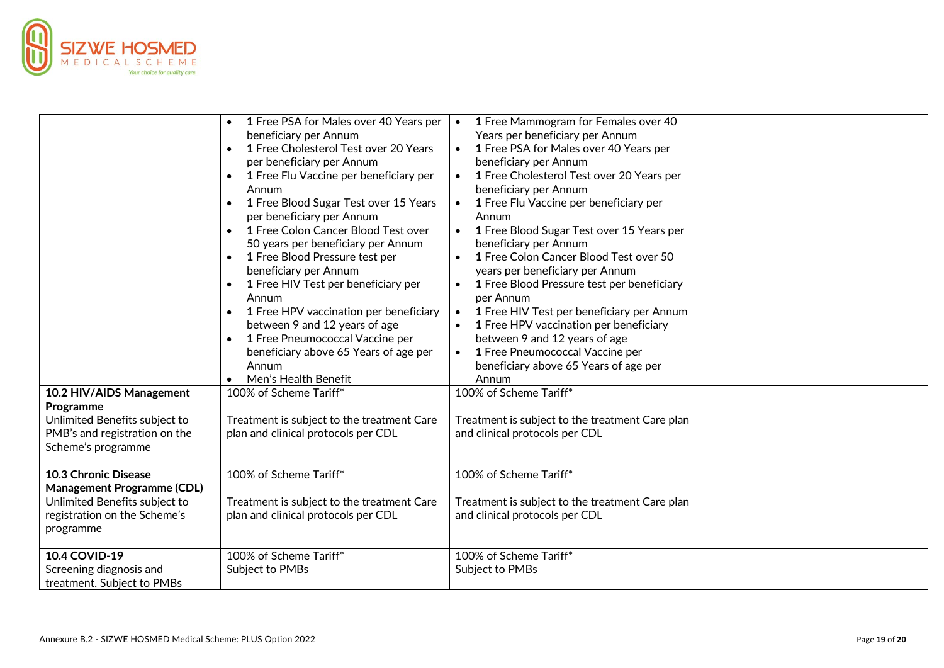

|                                                                                                                                         | 1 Free PSA for Males over 40 Years per<br>$\bullet$<br>beneficiary per Annum<br>1 Free Cholesterol Test over 20 Years<br>per beneficiary per Annum<br>1 Free Flu Vaccine per beneficiary per<br>$\bullet$<br>Annum<br>1 Free Blood Sugar Test over 15 Years<br>$\bullet$<br>per beneficiary per Annum<br>1 Free Colon Cancer Blood Test over<br>$\bullet$<br>50 years per beneficiary per Annum<br>1 Free Blood Pressure test per<br>$\bullet$<br>beneficiary per Annum<br>1 Free HIV Test per beneficiary per<br>Annum<br>1 Free HPV vaccination per beneficiary<br>$\bullet$<br>between 9 and 12 years of age<br>1 Free Pneumococcal Vaccine per<br>$\bullet$<br>beneficiary above 65 Years of age per<br>Annum | 1 Free Mammogram for Females over 40<br>$\bullet$<br>Years per beneficiary per Annum<br>1 Free PSA for Males over 40 Years per<br>$\bullet$<br>beneficiary per Annum<br>1 Free Cholesterol Test over 20 Years per<br>beneficiary per Annum<br>1 Free Flu Vaccine per beneficiary per<br>$\bullet$<br>Annum<br>1 Free Blood Sugar Test over 15 Years per<br>$\bullet$<br>beneficiary per Annum<br>1 Free Colon Cancer Blood Test over 50<br>$\bullet$<br>years per beneficiary per Annum<br>1 Free Blood Pressure test per beneficiary<br>per Annum<br>1 Free HIV Test per beneficiary per Annum<br>$\bullet$<br>1 Free HPV vaccination per beneficiary<br>between 9 and 12 years of age<br>1 Free Pneumococcal Vaccine per<br>$\bullet$<br>beneficiary above 65 Years of age per |  |
|-----------------------------------------------------------------------------------------------------------------------------------------|-------------------------------------------------------------------------------------------------------------------------------------------------------------------------------------------------------------------------------------------------------------------------------------------------------------------------------------------------------------------------------------------------------------------------------------------------------------------------------------------------------------------------------------------------------------------------------------------------------------------------------------------------------------------------------------------------------------------|----------------------------------------------------------------------------------------------------------------------------------------------------------------------------------------------------------------------------------------------------------------------------------------------------------------------------------------------------------------------------------------------------------------------------------------------------------------------------------------------------------------------------------------------------------------------------------------------------------------------------------------------------------------------------------------------------------------------------------------------------------------------------------|--|
|                                                                                                                                         | Men's Health Benefit                                                                                                                                                                                                                                                                                                                                                                                                                                                                                                                                                                                                                                                                                              | Annum                                                                                                                                                                                                                                                                                                                                                                                                                                                                                                                                                                                                                                                                                                                                                                            |  |
| 10.2 HIV/AIDS Management<br>Programme<br>Unlimited Benefits subject to<br>PMB's and registration on the<br>Scheme's programme           | 100% of Scheme Tariff*<br>Treatment is subject to the treatment Care<br>plan and clinical protocols per CDL                                                                                                                                                                                                                                                                                                                                                                                                                                                                                                                                                                                                       | 100% of Scheme Tariff*<br>Treatment is subject to the treatment Care plan<br>and clinical protocols per CDL                                                                                                                                                                                                                                                                                                                                                                                                                                                                                                                                                                                                                                                                      |  |
| 10.3 Chronic Disease<br><b>Management Programme (CDL)</b><br>Unlimited Benefits subject to<br>registration on the Scheme's<br>programme | 100% of Scheme Tariff*<br>Treatment is subject to the treatment Care<br>plan and clinical protocols per CDL                                                                                                                                                                                                                                                                                                                                                                                                                                                                                                                                                                                                       | 100% of Scheme Tariff*<br>Treatment is subject to the treatment Care plan<br>and clinical protocols per CDL                                                                                                                                                                                                                                                                                                                                                                                                                                                                                                                                                                                                                                                                      |  |
| 10.4 COVID-19<br>Screening diagnosis and<br>treatment. Subject to PMBs                                                                  | 100% of Scheme Tariff*<br>Subject to PMBs                                                                                                                                                                                                                                                                                                                                                                                                                                                                                                                                                                                                                                                                         | 100% of Scheme Tariff*<br>Subject to PMBs                                                                                                                                                                                                                                                                                                                                                                                                                                                                                                                                                                                                                                                                                                                                        |  |